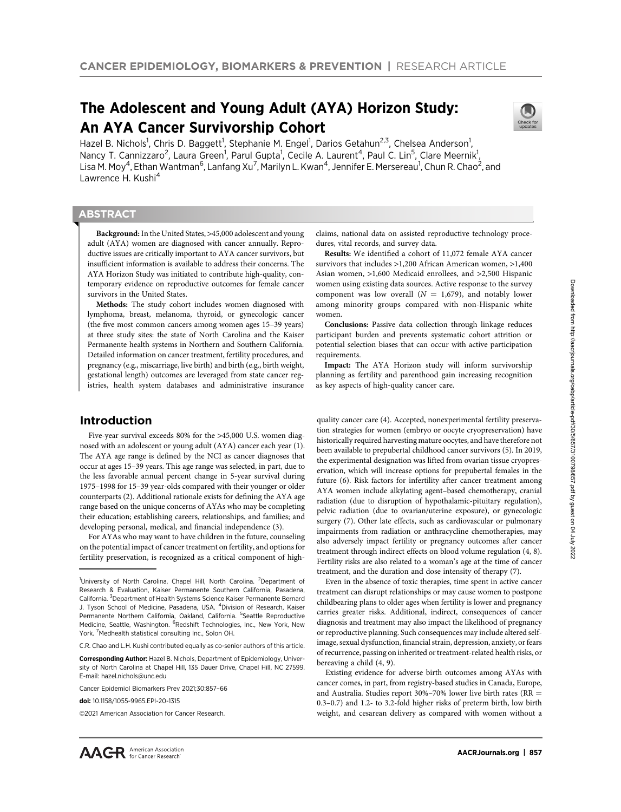# The Adolescent and Young Adult (AYA) Horizon Study: An AYA Cancer Survivorship Cohort



Hazel B. Nichols<sup>1</sup>, Chris D. Baggett<sup>1</sup>, Stephanie M. Engel<sup>1</sup>, Darios Getahun<sup>2,3</sup>, Chelsea Anderson<sup>1</sup>, Nancy T. Cannizzaro<sup>2</sup>, Laura Green<sup>1</sup>, Parul Gupta<sup>1</sup>, Cecile A. Laurent<sup>4</sup>, Paul C. Lin<sup>5</sup>, Clare Meernik<sup>1</sup>, Lisa M. Moy<sup>4</sup>, Ethan Wantman<sup>6</sup>, Lanfang Xu<sup>7</sup>, Marilyn L. Kwan<sup>4</sup>, Jennifer E. Mersereau<sup>1</sup>, Chun R. Chao<sup>2</sup>, and Lawrence H. Kushi<sup>4</sup>

## **ABSTRACT**

◥

Background: In the United States, >45,000 adolescent and young adult (AYA) women are diagnosed with cancer annually. Reproductive issues are critically important to AYA cancer survivors, but insufficient information is available to address their concerns. The AYA Horizon Study was initiated to contribute high-quality, contemporary evidence on reproductive outcomes for female cancer survivors in the United States.

Methods: The study cohort includes women diagnosed with lymphoma, breast, melanoma, thyroid, or gynecologic cancer (the five most common cancers among women ages 15–39 years) at three study sites: the state of North Carolina and the Kaiser Permanente health systems in Northern and Southern California. Detailed information on cancer treatment, fertility procedures, and pregnancy (e.g., miscarriage, live birth) and birth (e.g., birth weight, gestational length) outcomes are leveraged from state cancer registries, health system databases and administrative insurance

# Introduction

Five-year survival exceeds 80% for the >45,000 U.S. women diagnosed with an adolescent or young adult (AYA) cancer each year (1). The AYA age range is defined by the NCI as cancer diagnoses that occur at ages 15–39 years. This age range was selected, in part, due to the less favorable annual percent change in 5-year survival during 1975–1998 for 15–39 year-olds compared with their younger or older counterparts (2). Additional rationale exists for defining the AYA age range based on the unique concerns of AYAs who may be completing their education; establishing careers, relationships, and families; and developing personal, medical, and financial independence (3).

For AYAs who may want to have children in the future, counseling on the potential impact of cancer treatment on fertility, and options for fertility preservation, is recognized as a critical component of highclaims, national data on assisted reproductive technology procedures, vital records, and survey data.

Results: We identified a cohort of 11,072 female AYA cancer survivors that includes >1,200 African American women, >1,400 Asian women, >1,600 Medicaid enrollees, and >2,500 Hispanic women using existing data sources. Active response to the survey component was low overall  $(N = 1,679)$ , and notably lower among minority groups compared with non-Hispanic white women.

Conclusions: Passive data collection through linkage reduces participant burden and prevents systematic cohort attrition or potential selection biases that can occur with active participation requirements.

Impact: The AYA Horizon study will inform survivorship planning as fertility and parenthood gain increasing recognition as key aspects of high-quality cancer care.

quality cancer care (4). Accepted, nonexperimental fertility preservation strategies for women (embryo or oocyte cryopreservation) have historically required harvesting mature oocytes, and have therefore not been available to prepubertal childhood cancer survivors (5). In 2019, the experimental designation was lifted from ovarian tissue cryopreservation, which will increase options for prepubertal females in the future (6). Risk factors for infertility after cancer treatment among AYA women include alkylating agent–based chemotherapy, cranial radiation (due to disruption of hypothalamic-pituitary regulation), pelvic radiation (due to ovarian/uterine exposure), or gynecologic surgery (7). Other late effects, such as cardiovascular or pulmonary impairments from radiation or anthracycline chemotherapies, may also adversely impact fertility or pregnancy outcomes after cancer treatment through indirect effects on blood volume regulation (4, 8). Fertility risks are also related to a woman's age at the time of cancer treatment, and the duration and dose intensity of therapy (7).

Even in the absence of toxic therapies, time spent in active cancer treatment can disrupt relationships or may cause women to postpone childbearing plans to older ages when fertility is lower and pregnancy carries greater risks. Additional, indirect, consequences of cancer diagnosis and treatment may also impact the likelihood of pregnancy or reproductive planning. Such consequences may include altered selfimage, sexual dysfunction, financial strain, depression, anxiety, or fears of recurrence, passing on inherited or treatment-related health risks, or bereaving a child (4, 9).

Existing evidence for adverse birth outcomes among AYAs with cancer comes, in part, from registry-based studies in Canada, Europe, and Australia. Studies report 30%–70% lower live birth rates (RR  $=$ 0.3–0.7) and 1.2- to 3.2-fold higher risks of preterm birth, low birth weight, and cesarean delivery as compared with women without a

<sup>&</sup>lt;sup>1</sup>University of North Carolina, Chapel Hill, North Carolina. <sup>2</sup>Department of Research & Evaluation, Kaiser Permanente Southern California, Pasadena, California. <sup>3</sup>Department of Health Systems Science Kaiser Permanente Bernard J. Tyson School of Medicine, Pasadena, USA. <sup>4</sup>Division of Research, Kaiser Permanente Northern California, Oakland, California. <sup>5</sup>Seattle Reproductive Medicine, Seattle, Washington. <sup>6</sup>Redshift Technologies, Inc., New York, New York. <sup>7</sup> Medhealth statistical consulting Inc., Solon OH.

C.R. Chao and L.H. Kushi contributed equally as co-senior authors of this article.

Corresponding Author: Hazel B. Nichols, Department of Epidemiology, University of North Carolina at Chapel Hill, 135 Dauer Drive, Chapel Hill, NC 27599. E-mail: hazel.nichols@unc.edu

Cancer Epidemiol Biomarkers Prev 2021;30:857–66

doi: 10.1158/1055-9965.EPI-20-1315

<sup>©2021</sup> American Association for Cancer Research.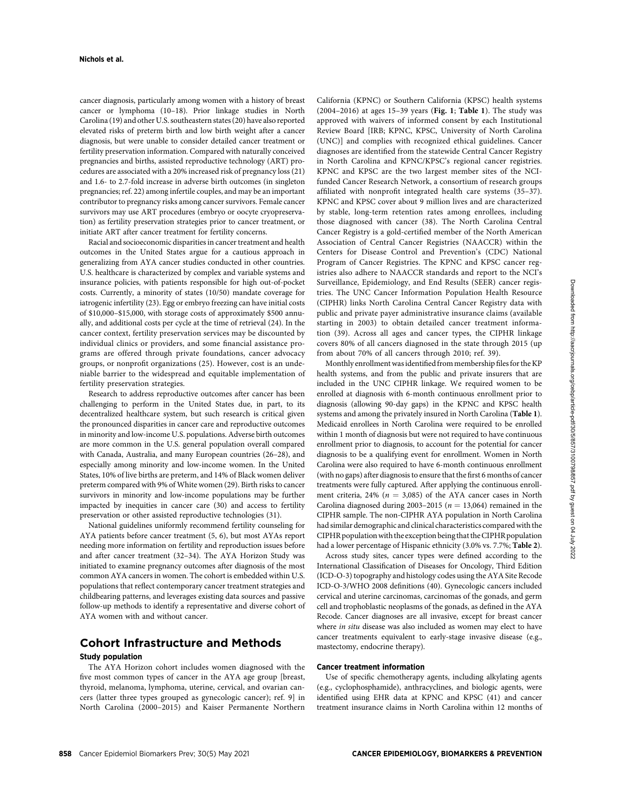cancer diagnosis, particularly among women with a history of breast cancer or lymphoma (10–18). Prior linkage studies in North Carolina (19) and other U.S. southeastern states (20) have also reported elevated risks of preterm birth and low birth weight after a cancer diagnosis, but were unable to consider detailed cancer treatment or fertility preservation information. Compared with naturally conceived pregnancies and births, assisted reproductive technology (ART) procedures are associated with a 20% increased risk of pregnancy loss (21) and 1.6- to 2.7-fold increase in adverse birth outcomes (in singleton pregnancies; ref. 22) among infertile couples, and may be an important contributor to pregnancy risks among cancer survivors. Female cancer survivors may use ART procedures (embryo or oocyte cryopreservation) as fertility preservation strategies prior to cancer treatment, or initiate ART after cancer treatment for fertility concerns.

Racial and socioeconomic disparities in cancer treatment and health outcomes in the United States argue for a cautious approach in generalizing from AYA cancer studies conducted in other countries. U.S. healthcare is characterized by complex and variable systems and insurance policies, with patients responsible for high out-of-pocket costs. Currently, a minority of states (10/50) mandate coverage for iatrogenic infertility (23). Egg or embryo freezing can have initial costs of \$10,000–\$15,000, with storage costs of approximately \$500 annually, and additional costs per cycle at the time of retrieval (24). In the cancer context, fertility preservation services may be discounted by individual clinics or providers, and some financial assistance programs are offered through private foundations, cancer advocacy groups, or nonprofit organizations (25). However, cost is an undeniable barrier to the widespread and equitable implementation of fertility preservation strategies.

Research to address reproductive outcomes after cancer has been challenging to perform in the United States due, in part, to its decentralized healthcare system, but such research is critical given the pronounced disparities in cancer care and reproductive outcomes in minority and low-income U.S. populations. Adverse birth outcomes are more common in the U.S. general population overall compared with Canada, Australia, and many European countries (26–28), and especially among minority and low-income women. In the United States, 10% of live births are preterm, and 14% of Black women deliver preterm compared with 9% of White women (29). Birth risks to cancer survivors in minority and low-income populations may be further impacted by inequities in cancer care (30) and access to fertility preservation or other assisted reproductive technologies (31).

National guidelines uniformly recommend fertility counseling for AYA patients before cancer treatment (5, 6), but most AYAs report needing more information on fertility and reproduction issues before and after cancer treatment (32–34). The AYA Horizon Study was initiated to examine pregnancy outcomes after diagnosis of the most common AYA cancers in women. The cohort is embedded within U.S. populations that reflect contemporary cancer treatment strategies and childbearing patterns, and leverages existing data sources and passive follow-up methods to identify a representative and diverse cohort of AYA women with and without cancer.

# Cohort Infrastructure and Methods

#### Study population

The AYA Horizon cohort includes women diagnosed with the five most common types of cancer in the AYA age group [breast, thyroid, melanoma, lymphoma, uterine, cervical, and ovarian cancers (latter three types grouped as gynecologic cancer); ref. 9] in North Carolina (2000–2015) and Kaiser Permanente Northern California (KPNC) or Southern California (KPSC) health systems (2004–2016) at ages 15–39 years (Fig. 1; Table 1). The study was approved with waivers of informed consent by each Institutional Review Board [IRB; KPNC, KPSC, University of North Carolina (UNC)] and complies with recognized ethical guidelines. Cancer diagnoses are identified from the statewide Central Cancer Registry in North Carolina and KPNC/KPSC's regional cancer registries. KPNC and KPSC are the two largest member sites of the NCIfunded Cancer Research Network, a consortium of research groups affiliated with nonprofit integrated health care systems (35–37). KPNC and KPSC cover about 9 million lives and are characterized by stable, long-term retention rates among enrollees, including those diagnosed with cancer (38). The North Carolina Central Cancer Registry is a gold-certified member of the North American Association of Central Cancer Registries (NAACCR) within the Centers for Disease Control and Prevention's (CDC) National Program of Cancer Registries. The KPNC and KPSC cancer registries also adhere to NAACCR standards and report to the NCI's Surveillance, Epidemiology, and End Results (SEER) cancer registries. The UNC Cancer Information Population Health Resource (CIPHR) links North Carolina Central Cancer Registry data with public and private payer administrative insurance claims (available starting in 2003) to obtain detailed cancer treatment information (39). Across all ages and cancer types, the CIPHR linkage covers 80% of all cancers diagnosed in the state through 2015 (up from about 70% of all cancers through 2010; ref. 39).

Monthly enrollment was identified from membership files for the KP health systems, and from the public and private insurers that are included in the UNC CIPHR linkage. We required women to be enrolled at diagnosis with 6-month continuous enrollment prior to diagnosis (allowing 90-day gaps) in the KPNC and KPSC health systems and among the privately insured in North Carolina (Table 1). Medicaid enrollees in North Carolina were required to be enrolled within 1 month of diagnosis but were not required to have continuous enrollment prior to diagnosis, to account for the potential for cancer diagnosis to be a qualifying event for enrollment. Women in North Carolina were also required to have 6-month continuous enrollment (with no gaps) after diagnosis to ensure that the first 6 months of cancer treatments were fully captured. After applying the continuous enrollment criteria, 24% ( $n = 3,085$ ) of the AYA cancer cases in North Carolina diagnosed during 2003–2015 ( $n = 13,064$ ) remained in the CIPHR sample. The non-CIPHR AYA population in North Carolina had similar demographic and clinical characteristics compared with the CIPHR population with the exception being that the CIPHR population had a lower percentage of Hispanic ethnicity (3.0% vs. 7.7%; Table 2).

Across study sites, cancer types were defined according to the International Classification of Diseases for Oncology, Third Edition (ICD-O-3) topography and histology codes using the AYA Site Recode ICD-O-3/WHO 2008 definitions (40). Gynecologic cancers included cervical and uterine carcinomas, carcinomas of the gonads, and germ cell and trophoblastic neoplasms of the gonads, as defined in the AYA Recode. Cancer diagnoses are all invasive, except for breast cancer where in situ disease was also included as women may elect to have cancer treatments equivalent to early-stage invasive disease (e.g., mastectomy, endocrine therapy).

### Cancer treatment information

Use of specific chemotherapy agents, including alkylating agents (e.g., cyclophosphamide), anthracyclines, and biologic agents, were identified using EHR data at KPNC and KPSC (41) and cancer treatment insurance claims in North Carolina within 12 months of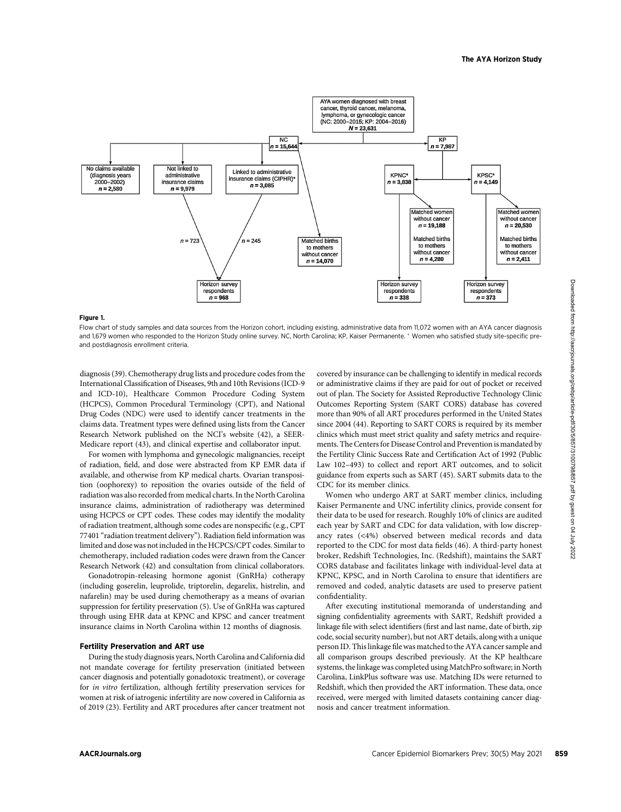

#### Figure 1.

Flow chart of study samples and data sources from the Horizon cohort, including existing, administrative data from 11,072 women with an AYA cancer diagnosis and 1,679 women who responded to the Horizon Study online survey. NC, North Carolina; KP, Kaiser Permanente. \* Women who satisfied study site-specific preand postdiagnosis enrollment criteria.

diagnosis (39). Chemotherapy drug lists and procedure codes from the International Classification of Diseases, 9th and 10th Revisions (ICD-9 and ICD-10), Healthcare Common Procedure Coding System (HCPCS), Common Procedural Terminology (CPT), and National Drug Codes (NDC) were used to identify cancer treatments in the claims data. Treatment types were defined using lists from the Cancer Research Network published on the NCI's website (42), a SEER-Medicare report (43), and clinical expertise and collaborator input.

For women with lymphoma and gynecologic malignancies, receipt of radiation, field, and dose were abstracted from KP EMR data if available, and otherwise from KP medical charts. Ovarian transposition (oophorexy) to reposition the ovaries outside of the field of radiation was also recorded from medical charts. In the North Carolina insurance claims, administration of radiotherapy was determined using HCPCS or CPT codes. These codes may identify the modality of radiation treatment, although some codes are nonspecific (e.g., CPT 77401 "radiation treatment delivery"). Radiation field information was limited and dose was not included in the HCPCS/CPT codes. Similar to chemotherapy, included radiation codes were drawn from the Cancer Research Network (42) and consultation from clinical collaborators.

Gonadotropin-releasing hormone agonist (GnRHa) cotherapy (including goserelin, leuprolide, triptorelin, degarelix, histrelin, and nafarelin) may be used during chemotherapy as a means of ovarian suppression for fertility preservation (5). Use of GnRHa was captured through using EHR data at KPNC and KPSC and cancer treatment insurance claims in North Carolina within 12 months of diagnosis.

### Fertility Preservation and ART use

During the study diagnosis years, North Carolina and California did not mandate coverage for fertility preservation (initiated between cancer diagnosis and potentially gonadotoxic treatment), or coverage for in vitro fertilization, although fertility preservation services for women at risk of iatrogenic infertility are now covered in California as of 2019 (23). Fertility and ART procedures after cancer treatment not covered by insurance can be challenging to identify in medical records or administrative claims if they are paid for out of pocket or received out of plan. The Society for Assisted Reproductive Technology Clinic Outcomes Reporting System (SART CORS) database has covered more than 90% of all ART procedures performed in the United States since 2004 (44). Reporting to SART CORS is required by its member clinics which must meet strict quality and safety metrics and requirements. The Centers for Disease Control and Prevention is mandated by the Fertility Clinic Success Rate and Certification Act of 1992 (Public Law 102–493) to collect and report ART outcomes, and to solicit guidance from experts such as SART (45). SART submits data to the CDC for its member clinics.

Women who undergo ART at SART member clinics, including Kaiser Permanente and UNC infertility clinics, provide consent for their data to be used for research. Roughly 10% of clinics are audited each year by SART and CDC for data validation, with low discrepancy rates (<4%) observed between medical records and data reported to the CDC for most data fields (46). A third-party honest broker, Redshift Technologies, Inc. (Redshift), maintains the SART CORS database and facilitates linkage with individual-level data at KPNC, KPSC, and in North Carolina to ensure that identifiers are removed and coded, analytic datasets are used to preserve patient confidentiality.

After executing institutional memoranda of understanding and signing confidentiality agreements with SART, Redshift provided a linkage file with select identifiers (first and last name, date of birth, zip code, social security number), but not ART details, along with a unique person ID. This linkage file was matched to the AYA cancer sample and all comparison groups described previously. At the KP healthcare systems, the linkage was completed using MatchPro software; in North Carolina, LinkPlus software was use. Matching IDs were returned to Redshift, which then provided the ART information. These data, once received, were merged with limited datasets containing cancer diagnosis and cancer treatment information.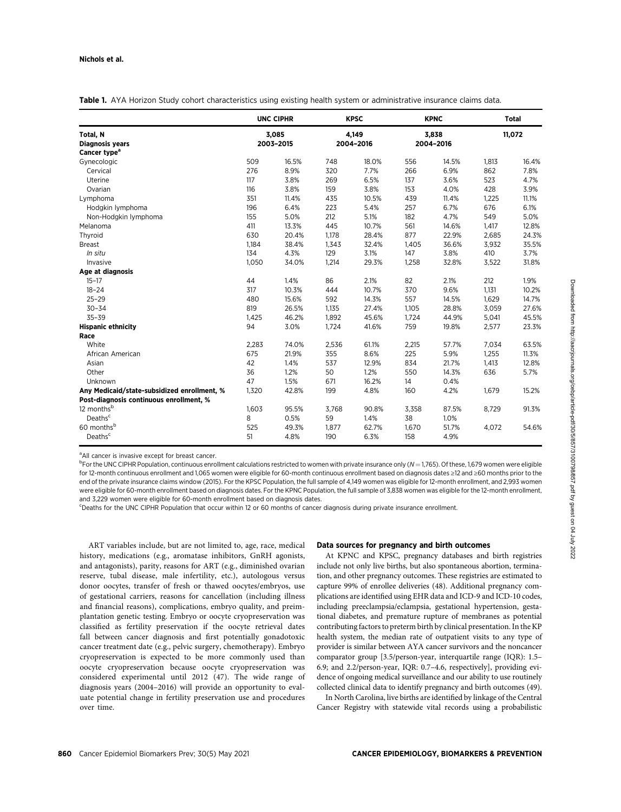|                                             | <b>UNC CIPHR</b><br>3,085<br>2003-2015 |       | <b>KPSC</b><br>4,149<br>2004-2016 |       | <b>KPNC</b><br>3,838<br>2004-2016 |       | <b>Total</b><br>11,072 |       |
|---------------------------------------------|----------------------------------------|-------|-----------------------------------|-------|-----------------------------------|-------|------------------------|-------|
| Total, N                                    |                                        |       |                                   |       |                                   |       |                        |       |
| <b>Diagnosis years</b>                      |                                        |       |                                   |       |                                   |       |                        |       |
| Cancer type <sup>a</sup>                    |                                        |       |                                   |       |                                   |       |                        |       |
| Gynecologic                                 | 509                                    | 16.5% | 748                               | 18.0% | 556                               | 14.5% | 1,813                  | 16.4% |
| Cervical                                    | 276                                    | 8.9%  | 320                               | 7.7%  | 266                               | 6.9%  | 862                    | 7.8%  |
| Uterine                                     | 117                                    | 3.8%  | 269                               | 6.5%  | 137                               | 3.6%  | 523                    | 4.7%  |
| Ovarian                                     | 116                                    | 3.8%  | 159                               | 3.8%  | 153                               | 4.0%  | 428                    | 3.9%  |
| Lymphoma                                    | 351                                    | 11.4% | 435                               | 10.5% | 439                               | 11.4% | 1,225                  | 11.1% |
| Hodgkin lymphoma                            | 196                                    | 6.4%  | 223                               | 5.4%  | 257                               | 6.7%  | 676                    | 6.1%  |
| Non-Hodgkin lymphoma                        | 155                                    | 5.0%  | 212                               | 5.1%  | 182                               | 4.7%  | 549                    | 5.0%  |
| Melanoma                                    | 411                                    | 13.3% | 445                               | 10.7% | 561                               | 14.6% | 1,417                  | 12.8% |
| Thyroid                                     | 630                                    | 20.4% | 1,178                             | 28.4% | 877                               | 22.9% | 2,685                  | 24.3% |
| <b>Breast</b>                               | 1,184                                  | 38.4% | 1,343                             | 32.4% | 1,405                             | 36.6% | 3,932                  | 35.5% |
| In situ                                     | 134                                    | 4.3%  | 129                               | 3.1%  | 147                               | 3.8%  | 410                    | 3.7%  |
| Invasive                                    | 1,050                                  | 34.0% | 1,214                             | 29.3% | 1,258                             | 32.8% | 3,522                  | 31.8% |
| Age at diagnosis                            |                                        |       |                                   |       |                                   |       |                        |       |
| $15 - 17$                                   | 44                                     | 1.4%  | 86                                | 2.1%  | 82                                | 2.1%  | 212                    | 1.9%  |
| $18 - 24$                                   | 317                                    | 10.3% | 444                               | 10.7% | 370                               | 9.6%  | 1,131                  | 10.2% |
| $25 - 29$                                   | 480                                    | 15.6% | 592                               | 14.3% | 557                               | 14.5% | 1,629                  | 14.7% |
| $30 - 34$                                   | 819                                    | 26.5% | 1,135                             | 27.4% | 1,105                             | 28.8% | 3,059                  | 27.6% |
| $35 - 39$                                   | 1,425                                  | 46.2% | 1.892                             | 45.6% | 1,724                             | 44.9% | 5,041                  | 45.5% |
| <b>Hispanic ethnicity</b>                   | 94                                     | 3.0%  | 1,724                             | 41.6% | 759                               | 19.8% | 2,577                  | 23.3% |
| Race                                        |                                        |       |                                   |       |                                   |       |                        |       |
| White                                       | 2,283                                  | 74.0% | 2,536                             | 61.1% | 2,215                             | 57.7% | 7,034                  | 63.5% |
| African American                            | 675                                    | 21.9% | 355                               | 8.6%  | 225                               | 5.9%  | 1,255                  | 11.3% |
| Asian                                       | 42                                     | 1.4%  | 537                               | 12.9% | 834                               | 21.7% | 1,413                  | 12.8% |
| Other                                       | 36                                     | 1.2%  | 50                                | 1.2%  | 550                               | 14.3% | 636                    | 5.7%  |
| Unknown                                     | 47                                     | 1.5%  | 671                               | 16.2% | 14                                | 0.4%  |                        |       |
| Any Medicaid/state-subsidized enrollment, % | 1,320                                  | 42.8% | 199                               | 4.8%  | 160                               | 4.2%  | 1,679                  | 15.2% |
| Post-diagnosis continuous enrollment, %     |                                        |       |                                   |       |                                   |       |                        |       |
| 12 months <sup>b</sup>                      | 1,603                                  | 95.5% | 3,768                             | 90.8% | 3,358                             | 87.5% | 8,729                  | 91.3% |
| Deaths <sup>c</sup>                         | 8                                      | 0.5%  | 59                                | 1.4%  | 38                                | 1.0%  |                        |       |
| 60 monthsb                                  | 525                                    | 49.3% | 1,877                             | 62.7% | 1,670                             | 51.7% | 4,072                  | 54.6% |
| Deaths <sup>c</sup>                         | 51                                     | 4.8%  | 190                               | 6.3%  | 158                               | 4.9%  |                        |       |

<sup>a</sup> All cancer is invasive except for breast cancer.

 $^{\rm b}$ For the UNC CIPHR Population, continuous enrollment calculations restricted to women with private insurance only (N  $=$  1,765). Of these, 1,679 women were eligible for 12-month continuous enrollment and 1,065 women were eligible for 60-month continuous enrollment based on diagnosis dates ≥12 and ≥60 months prior to the end of the private insurance claims window (2015). For the KPSC Population, the full sample of 4,149 women was eligible for 12-month enrollment, and 2,993 women were eligible for 60-month enrollment based on diagnosis dates. For the KPNC Population, the full sample of 3,838 women was eligible for the 12-month enrollment, and 3,229 women were eligible for 60-month enrollment based on diagnosis dates.

c Deaths for the UNC CIPHR Population that occur within 12 or 60 months of cancer diagnosis during private insurance enrollment.

ART variables include, but are not limited to, age, race, medical history, medications (e.g., aromatase inhibitors, GnRH agonists, and antagonists), parity, reasons for ART (e.g., diminished ovarian reserve, tubal disease, male infertility, etc.), autologous versus donor oocytes, transfer of fresh or thawed oocytes/embryos, use of gestational carriers, reasons for cancellation (including illness and financial reasons), complications, embryo quality, and preimplantation genetic testing. Embryo or oocyte cryopreservation was classified as fertility preservation if the oocyte retrieval dates fall between cancer diagnosis and first potentially gonadotoxic cancer treatment date (e.g., pelvic surgery, chemotherapy). Embryo cryopreservation is expected to be more commonly used than oocyte cryopreservation because oocyte cryopreservation was considered experimental until 2012 (47). The wide range of diagnosis years (2004–2016) will provide an opportunity to evaluate potential change in fertility preservation use and procedures over time.

### Data sources for pregnancy and birth outcomes

At KPNC and KPSC, pregnancy databases and birth registries include not only live births, but also spontaneous abortion, termination, and other pregnancy outcomes. These registries are estimated to capture 99% of enrollee deliveries (48). Additional pregnancy complications are identified using EHR data and ICD-9 and ICD-10 codes, including preeclampsia/eclampsia, gestational hypertension, gestational diabetes, and premature rupture of membranes as potential contributing factors to preterm birth by clinical presentation. In the KP health system, the median rate of outpatient visits to any type of provider is similar between AYA cancer survivors and the noncancer comparator group [3.5/person-year, interquartile range (IQR): 1.5– 6.9; and 2.2/person-year, IQR: 0.7–4.6, respectively], providing evidence of ongoing medical surveillance and our ability to use routinely collected clinical data to identify pregnancy and birth outcomes (49).

In North Carolina, live births are identified by linkage of the Central Cancer Registry with statewide vital records using a probabilistic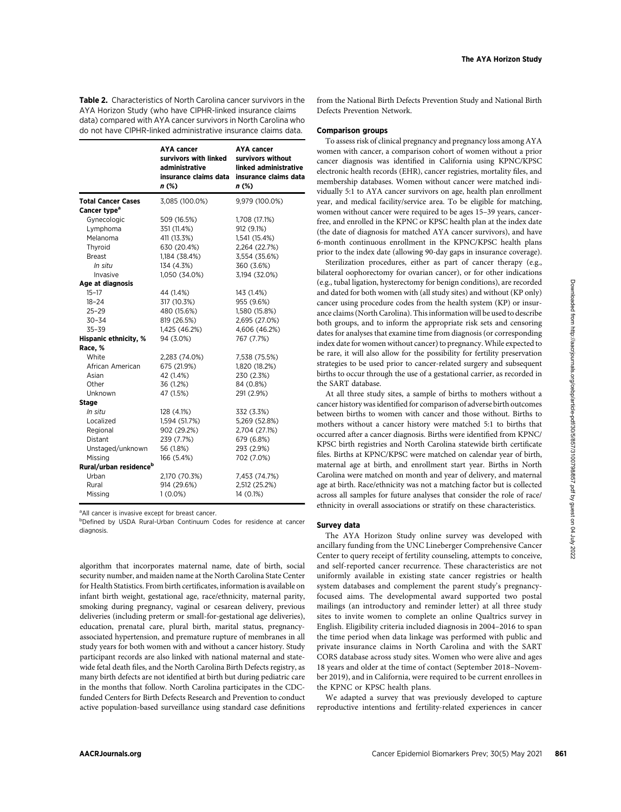Table 2. Characteristics of North Carolina cancer survivors in the AYA Horizon Study (who have CIPHR-linked insurance claims data) compared with AYA cancer survivors in North Carolina who do not have CIPHR-linked administrative insurance claims data.

|                                    | AYA cancer<br>survivors with linked<br>administrative<br>insurance claims data<br>$n$ (%) | <b>AYA cancer</b><br>survivors without<br>linked administrative<br>insurance claims data<br>n(%) |
|------------------------------------|-------------------------------------------------------------------------------------------|--------------------------------------------------------------------------------------------------|
| <b>Total Cancer Cases</b>          | 3,085 (100.0%)                                                                            | 9,979 (100.0%)                                                                                   |
| Cancer type <sup>a</sup>           |                                                                                           |                                                                                                  |
| Gynecologic                        | 509 (16.5%)                                                                               | 1,708 (17.1%)                                                                                    |
| Lymphoma                           | 351 (11.4%)                                                                               | 912 (9.1%)                                                                                       |
| Melanoma                           | 411 (13.3%)                                                                               | 1,541 (15.4%)                                                                                    |
| Thyroid                            | 630 (20.4%)                                                                               | 2,264 (22.7%)                                                                                    |
| Breast                             | 1,184 (38.4%)                                                                             | 3,554 (35.6%)                                                                                    |
| In situ                            | 134 (4.3%)                                                                                | 360 (3.6%)                                                                                       |
| Invasive                           | 1,050 (34.0%)                                                                             | 3,194 (32.0%)                                                                                    |
| Age at diagnosis                   |                                                                                           |                                                                                                  |
| $15 - 17$                          | 44 (1.4%)                                                                                 | 143 (1.4%)                                                                                       |
| 18-24                              | 317 (10.3%)                                                                               | 955 (9.6%)                                                                                       |
| $25 - 29$                          | 480 (15.6%)                                                                               | 1,580 (15.8%)                                                                                    |
| $30 - 34$                          | 819 (26.5%)                                                                               | 2,695 (27.0%)                                                                                    |
| $35 - 39$                          | 1,425 (46.2%)                                                                             | 4,606 (46.2%)                                                                                    |
| <b>Hispanic ethnicity, %</b>       | 94 (3.0%)                                                                                 | 767 (7.7%)                                                                                       |
| Race, %                            |                                                                                           |                                                                                                  |
| White                              | 2,283 (74.0%)                                                                             | 7,538 (75.5%)                                                                                    |
| African American                   | 675 (21.9%)                                                                               | 1,820 (18.2%)                                                                                    |
| Asian                              | 42 (1.4%)                                                                                 | 230 (2.3%)                                                                                       |
| Other                              | 36 (1.2%)                                                                                 | 84 (0.8%)                                                                                        |
| Unknown                            | 47 (1.5%)                                                                                 | 291 (2.9%)                                                                                       |
| <b>Stage</b>                       |                                                                                           |                                                                                                  |
| In situ                            | 128 (4.1%)                                                                                | 332 (3.3%)                                                                                       |
| Localized                          | 1,594 (51.7%)                                                                             | 5,269 (52.8%)                                                                                    |
| Regional                           | 902 (29.2%)                                                                               | 2,704 (27.1%)                                                                                    |
| <b>Distant</b>                     | 239 (7.7%)                                                                                | 679 (6.8%)                                                                                       |
| Unstaged/unknown                   | 56 (1.8%)                                                                                 | 293 (2.9%)                                                                                       |
| Missing                            | 166 (5.4%)                                                                                | 702 (7.0%)                                                                                       |
| Rural/urban residence <sup>b</sup> |                                                                                           |                                                                                                  |
| Urban                              | 2,170 (70.3%)                                                                             | 7,453 (74.7%)                                                                                    |
| Rural                              | 914 (29.6%)                                                                               | 2,512 (25.2%)                                                                                    |
| Missing                            | $1(0.0\%)$                                                                                | 14 (0.1%)                                                                                        |
|                                    |                                                                                           |                                                                                                  |

<sup>a</sup> All cancer is invasive except for breast cancer.

<sup>b</sup>Defined by USDA Rural-Urban Continuum Codes for residence at cancer diagnosis.

algorithm that incorporates maternal name, date of birth, social security number, and maiden name at the North Carolina State Center for Health Statistics. From birth certificates, information is available on infant birth weight, gestational age, race/ethnicity, maternal parity, smoking during pregnancy, vaginal or cesarean delivery, previous deliveries (including preterm or small-for-gestational age deliveries), education, prenatal care, plural birth, marital status, pregnancyassociated hypertension, and premature rupture of membranes in all study years for both women with and without a cancer history. Study participant records are also linked with national maternal and statewide fetal death files, and the North Carolina Birth Defects registry, as many birth defects are not identified at birth but during pediatric care in the months that follow. North Carolina participates in the CDCfunded Centers for Birth Defects Research and Prevention to conduct active population-based surveillance using standard case definitions from the National Birth Defects Prevention Study and National Birth Defects Prevention Network.

## Comparison groups

To assess risk of clinical pregnancy and pregnancy loss among AYA women with cancer, a comparison cohort of women without a prior cancer diagnosis was identified in California using KPNC/KPSC electronic health records (EHR), cancer registries, mortality files, and membership databases. Women without cancer were matched individually 5:1 to AYA cancer survivors on age, health plan enrollment year, and medical facility/service area. To be eligible for matching, women without cancer were required to be ages 15–39 years, cancerfree, and enrolled in the KPNC or KPSC health plan at the index date (the date of diagnosis for matched AYA cancer survivors), and have 6-month continuous enrollment in the KPNC/KPSC health plans prior to the index date (allowing 90-day gaps in insurance coverage).

Sterilization procedures, either as part of cancer therapy (e.g., bilateral oophorectomy for ovarian cancer), or for other indications (e.g., tubal ligation, hysterectomy for benign conditions), are recorded and dated for both women with (all study sites) and without (KP only) cancer using procedure codes from the health system (KP) or insurance claims (North Carolina). This information will be used to describe both groups, and to inform the appropriate risk sets and censoring dates for analyses that examine time from diagnosis (or corresponding index date for women without cancer) to pregnancy. While expected to be rare, it will also allow for the possibility for fertility preservation strategies to be used prior to cancer-related surgery and subsequent births to occur through the use of a gestational carrier, as recorded in the SART database.

At all three study sites, a sample of births to mothers without a cancer history was identified for comparison of adverse birth outcomes between births to women with cancer and those without. Births to mothers without a cancer history were matched 5:1 to births that occurred after a cancer diagnosis. Births were identified from KPNC/ KPSC birth registries and North Carolina statewide birth certificate files. Births at KPNC/KPSC were matched on calendar year of birth, maternal age at birth, and enrollment start year. Births in North Carolina were matched on month and year of delivery, and maternal age at birth. Race/ethnicity was not a matching factor but is collected across all samples for future analyses that consider the role of race/ ethnicity in overall associations or stratify on these characteristics.

### Survey data

The AYA Horizon Study online survey was developed with ancillary funding from the UNC Lineberger Comprehensive Cancer Center to query receipt of fertility counseling, attempts to conceive, and self-reported cancer recurrence. These characteristics are not uniformly available in existing state cancer registries or health system databases and complement the parent study's pregnancyfocused aims. The developmental award supported two postal mailings (an introductory and reminder letter) at all three study sites to invite women to complete an online Qualtrics survey in English. Eligibility criteria included diagnosis in 2004–2016 to span the time period when data linkage was performed with public and private insurance claims in North Carolina and with the SART CORS database across study sites. Women who were alive and ages 18 years and older at the time of contact (September 2018–November 2019), and in California, were required to be current enrollees in the KPNC or KPSC health plans.

We adapted a survey that was previously developed to capture reproductive intentions and fertility-related experiences in cancer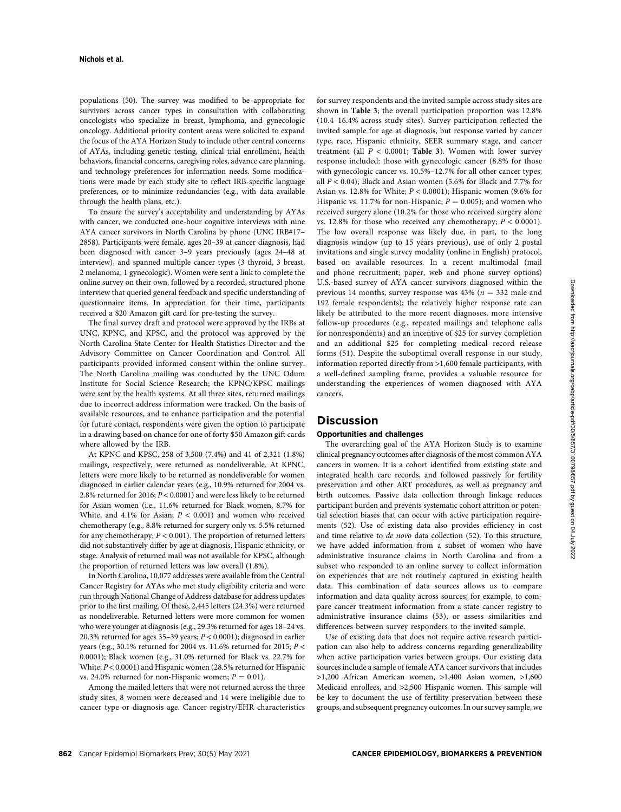populations (50). The survey was modified to be appropriate for survivors across cancer types in consultation with collaborating oncologists who specialize in breast, lymphoma, and gynecologic oncology. Additional priority content areas were solicited to expand the focus of the AYA Horizon Study to include other central concerns of AYAs, including genetic testing, clinical trial enrollment, health behaviors, financial concerns, caregiving roles, advance care planning, and technology preferences for information needs. Some modifications were made by each study site to reflect IRB-specific language preferences, or to minimize redundancies (e.g., with data available through the health plans, etc.).

To ensure the survey's acceptability and understanding by AYAs with cancer, we conducted one-hour cognitive interviews with nine AYA cancer survivors in North Carolina by phone (UNC IRB#17– 2858). Participants were female, ages 20–39 at cancer diagnosis, had been diagnosed with cancer 3–9 years previously (ages 24–48 at interview), and spanned multiple cancer types (3 thyroid, 3 breast, 2 melanoma, 1 gynecologic). Women were sent a link to complete the online survey on their own, followed by a recorded, structured phone interview that queried general feedback and specific understanding of questionnaire items. In appreciation for their time, participants received a \$20 Amazon gift card for pre-testing the survey.

The final survey draft and protocol were approved by the IRBs at UNC, KPNC, and KPSC, and the protocol was approved by the North Carolina State Center for Health Statistics Director and the Advisory Committee on Cancer Coordination and Control. All participants provided informed consent within the online survey. The North Carolina mailing was conducted by the UNC Odum Institute for Social Science Research; the KPNC/KPSC mailings were sent by the health systems. At all three sites, returned mailings due to incorrect address information were tracked. On the basis of available resources, and to enhance participation and the potential for future contact, respondents were given the option to participate in a drawing based on chance for one of forty \$50 Amazon gift cards where allowed by the IRB.

At KPNC and KPSC, 258 of 3,500 (7.4%) and 41 of 2,321 (1.8%) mailings, respectively, were returned as nondeliverable. At KPNC, letters were more likely to be returned as nondeliverable for women diagnosed in earlier calendar years (e.g., 10.9% returned for 2004 vs. 2.8% returned for 2016; P < 0.0001) and were less likely to be returned for Asian women (i.e., 11.6% returned for Black women, 8.7% for White, and 4.1% for Asian;  $P < 0.001$ ) and women who received chemotherapy (e.g., 8.8% returned for surgery only vs. 5.5% returned for any chemotherapy;  $P < 0.001$ ). The proportion of returned letters did not substantively differ by age at diagnosis, Hispanic ethnicity, or stage. Analysis of returned mail was not available for KPSC, although the proportion of returned letters was low overall (1.8%).

In North Carolina, 10,077 addresses were available from the Central Cancer Registry for AYAs who met study eligibility criteria and were run through National Change of Address database for address updates prior to the first mailing. Of these, 2,445 letters (24.3%) were returned as nondeliverable. Returned letters were more common for women who were younger at diagnosis (e.g., 29.3% returned for ages 18–24 vs. 20.3% returned for ages 35-39 years;  $P < 0.0001$ ); diagnosed in earlier years (e.g., 30.1% returned for 2004 vs. 11.6% returned for 2015;  $P <$ 0.0001); Black women (e.g., 31.0% returned for Black vs. 22.7% for White; P < 0.0001) and Hispanic women (28.5% returned for Hispanic vs. 24.0% returned for non-Hispanic women;  $P = 0.01$ ).

Among the mailed letters that were not returned across the three study sites, 8 women were deceased and 14 were ineligible due to cancer type or diagnosis age. Cancer registry/EHR characteristics for survey respondents and the invited sample across study sites are shown in Table 3; the overall participation proportion was 12.8% (10.4–16.4% across study sites). Survey participation reflected the invited sample for age at diagnosis, but response varied by cancer type, race, Hispanic ethnicity, SEER summary stage, and cancer treatment (all  $P < 0.0001$ ; Table 3). Women with lower survey response included: those with gynecologic cancer (8.8% for those with gynecologic cancer vs. 10.5%–12.7% for all other cancer types; all  $P < 0.04$ ); Black and Asian women (5.6% for Black and 7.7% for Asian vs. 12.8% for White;  $P < 0.0001$ ); Hispanic women (9.6% for Hispanic vs. 11.7% for non-Hispanic;  $P = 0.005$ ); and women who received surgery alone (10.2% for those who received surgery alone vs. 12.8% for those who received any chemotherapy;  $P < 0.0001$ ). The low overall response was likely due, in part, to the long diagnosis window (up to 15 years previous), use of only 2 postal invitations and single survey modality (online in English) protocol, based on available resources. In a recent multimodal (mail and phone recruitment; paper, web and phone survey options) U.S.-based survey of AYA cancer survivors diagnosed within the previous 14 months, survey response was 43% ( $n = 332$  male and 192 female respondents); the relatively higher response rate can likely be attributed to the more recent diagnoses, more intensive follow-up procedures (e.g., repeated mailings and telephone calls for nonrespondents) and an incentive of \$25 for survey completion and an additional \$25 for completing medical record release forms (51). Despite the suboptimal overall response in our study, information reported directly from >1,600 female participants, with a well-defined sampling frame, provides a valuable resource for understanding the experiences of women diagnosed with AYA cancers.

## Discussion

## Opportunities and challenges

The overarching goal of the AYA Horizon Study is to examine clinical pregnancy outcomes after diagnosis of the most common AYA cancers in women. It is a cohort identified from existing state and integrated health care records, and followed passively for fertility preservation and other ART procedures, as well as pregnancy and birth outcomes. Passive data collection through linkage reduces participant burden and prevents systematic cohort attrition or potential selection biases that can occur with active participation requirements (52). Use of existing data also provides efficiency in cost and time relative to de novo data collection (52). To this structure, we have added information from a subset of women who have administrative insurance claims in North Carolina and from a subset who responded to an online survey to collect information on experiences that are not routinely captured in existing health data. This combination of data sources allows us to compare information and data quality across sources; for example, to compare cancer treatment information from a state cancer registry to administrative insurance claims (53), or assess similarities and differences between survey responders to the invited sample.

Use of existing data that does not require active research participation can also help to address concerns regarding generalizability when active participation varies between groups. Our existing data sources include a sample of female AYA cancer survivors that includes >1,200 African American women, >1,400 Asian women, >1,600 Medicaid enrollees, and >2,500 Hispanic women. This sample will be key to document the use of fertility preservation between these groups, and subsequent pregnancy outcomes. In our survey sample, we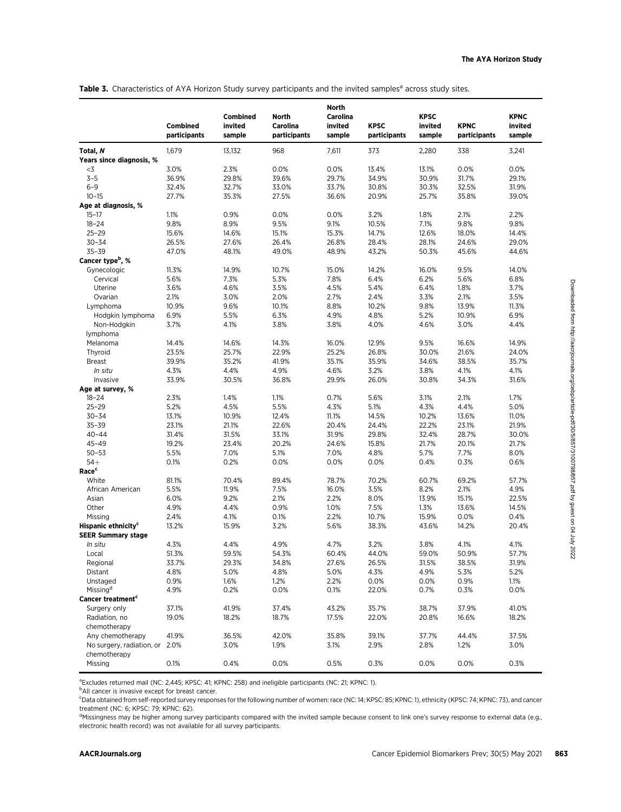|                                 | Combined<br>participants | Combined<br>invited<br>sample | <b>North</b><br>Carolina<br>participants | North<br>Carolina<br>invited<br>sample | <b>KPSC</b><br>participants | <b>KPSC</b><br>invited<br>sample | <b>KPNC</b><br>participants | <b>KPNC</b><br>invited<br>sample |
|---------------------------------|--------------------------|-------------------------------|------------------------------------------|----------------------------------------|-----------------------------|----------------------------------|-----------------------------|----------------------------------|
| Total, N                        | 1,679                    | 13,132                        | 968                                      | 7,611                                  | 373                         | 2,280                            | 338                         | 3,241                            |
| Years since diagnosis, %        |                          |                               |                                          |                                        |                             |                                  |                             |                                  |
| -3                              | 3.0%                     | 2.3%                          | 0.0%                                     | 0.0%                                   | 13.4%                       | 13.1%                            | 0.0%                        | 0.0%                             |
| $3 - 5$                         | 36.9%                    | 29.8%                         | 39.6%                                    | 29.7%                                  | 34.9%                       | 30.9%                            | 31.7%                       | 29.1%                            |
| $6 - 9$                         | 32.4%                    | 32.7%                         | 33.0%                                    | 33.7%                                  | 30.8%                       | 30.3%                            | 32.5%                       | 31.9%                            |
| $10 - 15$                       | 27.7%                    | 35.3%                         | 27.5%                                    | 36.6%                                  | 20.9%                       | 25.7%                            | 35.8%                       | 39.0%                            |
| Age at diagnosis, %             |                          |                               |                                          |                                        |                             |                                  |                             |                                  |
| $15 - 17$                       | 1.1%                     | 0.9%                          | 0.0%                                     | 0.0%                                   | 3.2%                        | 1.8%                             | 2.1%                        | 2.2%                             |
| $18 - 24$                       | 9.8%                     | 8.9%                          | 9.5%                                     | 9.1%                                   | 10.5%                       | 7.1%                             | 9.8%                        | 9.8%                             |
| $25 - 29$                       | 15.6%                    | 14.6%                         | 15.1%                                    | 15.3%                                  | 14.7%                       | 12.6%                            | 18.0%                       | 14.4%                            |
| $30 - 34$                       | 26.5%                    | 27.6%                         | 26.4%                                    | 26.8%                                  | 28.4%                       | 28.1%                            | 24.6%                       | 29.0%                            |
| $35 - 39$                       | 47.0%                    | 48.1%                         | 49.0%                                    | 48.9%                                  | 43.2%                       | 50.3%                            | 45.6%                       | 44.6%                            |
| Cancer type <sup>b</sup> , %    |                          |                               |                                          |                                        |                             |                                  |                             |                                  |
| Gynecologic                     | 11.3%                    | 14.9%                         | 10.7%                                    | 15.0%                                  | 14.2%                       | 16.0%                            | 9.5%                        | 14.0%                            |
| Cervical                        | 5.6%                     | 7.3%                          | 5.3%                                     | 7.8%                                   | 6.4%                        | 6.2%                             | 5.6%                        | 6.8%                             |
| Uterine                         | 3.6%                     | 4.6%                          | 3.5%                                     | 4.5%                                   | 5.4%                        | 6.4%                             | 1.8%                        | 3.7%                             |
| Ovarian                         | 2.1%                     | 3.0%                          | 2.0%                                     | 2.7%                                   | 2.4%                        | 3.3%                             | 2.1%                        | 3.5%                             |
| Lymphoma                        | 10.9%                    | 9.6%                          | 10.1%                                    | 8.8%                                   | 10.2%                       | 9.8%                             | 13.9%                       | 11.3%                            |
| Hodgkin lymphoma                | 6.9%                     | 5.5%                          | 6.3%                                     | 4.9%                                   | 4.8%                        | 5.2%                             | 10.9%                       | 6.9%                             |
| Non-Hodgkin                     | 3.7%                     | 4.1%                          | 3.8%                                     | 3.8%                                   | 4.0%                        | 4.6%                             | 3.0%                        | 4.4%                             |
| lymphoma                        |                          |                               |                                          |                                        |                             |                                  |                             |                                  |
| Melanoma                        | 14.4%                    | 14.6%                         | 14.3%                                    | 16.0%                                  | 12.9%                       | 9.5%                             | 16.6%                       | 14.9%                            |
| Thyroid                         | 23.5%                    | 25.7%                         | 22.9%                                    | 25.2%                                  | 26.8%                       | 30.0%                            | 21.6%                       | 24.0%                            |
| <b>Breast</b>                   | 39.9%                    | 35.2%                         | 41.9%                                    | 35.1%                                  | 35.9%                       | 34.6%                            | 38.5%                       | 35.7%                            |
| In situ                         | 4.3%                     | 4.4%                          | 4.9%                                     | 4.6%                                   | 3.2%                        | 3.8%                             | 4.1%                        | 4.1%                             |
| Invasive                        | 33.9%                    | 30.5%                         | 36.8%                                    | 29.9%                                  | 26.0%                       | 30.8%                            | 34.3%                       | 31.6%                            |
| Age at survey, %                |                          |                               |                                          |                                        |                             |                                  |                             |                                  |
| $18 - 24$                       | 2.3%                     | 1.4%                          | 1.1%                                     | 0.7%                                   | 5.6%                        | 3.1%                             | 2.1%                        | 1.7%                             |
| $25 - 29$                       | 5.2%                     | 4.5%                          | 5.5%                                     | 4.3%                                   | 5.1%                        | 4.3%                             | 4.4%                        | 5.0%                             |
| $30 - 34$                       | 13.1%                    | 10.9%                         | 12.4%                                    | 11.1%                                  | 14.5%                       | 10.2%                            | 13.6%                       | 11.0%                            |
| $35 - 39$                       | 23.1%                    | 21.1%                         | 22.6%                                    | 20.4%                                  | 24.4%                       | 22.2%                            | 23.1%                       | 21.9%                            |
| $40 - 44$                       | 31.4%                    | 31.5%                         | 33.1%                                    | 31.9%                                  | 29.8%                       | 32.4%                            | 28.7%                       | 30.0%                            |
| $45 - 49$                       | 19.2%                    | 23.4%                         | 20.2%                                    | 24.6%                                  | 15.8%                       | 21.7%                            | 20.1%                       | 21.7%                            |
| $50 - 53$                       | 5.5%                     | 7.0%                          | 5.1%                                     | 7.0%                                   | 4.8%                        | 5.7%                             | 7.7%                        | 8.0%                             |
| $54+$                           | 0.1%                     | 0.2%                          | 0.0%                                     | 0.0%                                   | 0.0%                        | 0.4%                             | 0.3%                        | 0.6%                             |
| Race <sup>c</sup>               |                          |                               |                                          |                                        |                             |                                  |                             |                                  |
|                                 |                          |                               |                                          |                                        |                             |                                  |                             |                                  |
| White                           | 81.1%                    | 70.4%                         | 89.4%                                    | 78.7%                                  | 70.2%                       | 60.7%                            | 69.2%                       | 57.7%                            |
| African American                | 5.5%<br>6.0%             | 11.9%<br>9.2%                 | 7.5%<br>2.1%                             | 16.0%<br>2.2%                          | 3.5%<br>8.0%                | 8.2%<br>13.9%                    | 2.1%                        | 4.9%                             |
| Asian                           |                          |                               |                                          |                                        |                             |                                  | 15.1%                       | 22.5%                            |
| Other                           | 4.9%                     | 4.4%                          | 0.9%                                     | 1.0%                                   | 7.5%                        | 1.3%                             | 13.6%                       | 14.5%                            |
| Missing                         | 2.4%                     | 4.1%                          | 0.1%                                     | 2.2%                                   | 10.7%                       | 15.9%                            | 0.0%                        | 0.4%                             |
| Hispanic ethnicity <sup>c</sup> | 13.2%                    | 15.9%                         | 3.2%                                     | 5.6%                                   | 38.3%                       | 43.6%                            | 14.2%                       | 20.4%                            |
| <b>SEER Summary stage</b>       |                          |                               |                                          |                                        |                             |                                  |                             |                                  |
| In situ                         | 4.3%                     | 4.4%                          | 4.9%                                     | 4.7%                                   | 3.2%                        | 3.8%                             | 4.1%                        | 4.1%                             |
| Local                           | 51.3%                    | 59.5%                         | 54.3%                                    | 60.4%                                  | 44.0%                       | 59.0%                            | 50.9%                       | 57.7%                            |
| Regional                        | 33.7%                    | 29.3%                         | 34.8%                                    | 27.6%                                  | 26.5%                       | 31.5%                            | 38.5%                       | 31.9%                            |
| Distant                         | 4.8%                     | 5.0%                          | 4.8%                                     | 5.0%                                   | 4.3%                        | 4.9%                             | 5.3%                        | 5.2%                             |
| Unstaged                        | 0.9%                     | 1.6%                          | 1.2%                                     | 2.2%                                   | 0.0%                        | 0.0%                             | 0.9%                        | 1.1%                             |
| Missing <sup>d</sup>            | 4.9%                     | 0.2%                          | 0.0%                                     | 0.1%                                   | 22.0%                       | 0.7%                             | 0.3%                        | 0.0%                             |
| Cancer treatment <sup>c</sup>   |                          |                               |                                          |                                        |                             |                                  |                             |                                  |
| Surgery only                    | 37.1%                    | 41.9%                         | 37.4%                                    | 43.2%                                  | 35.7%                       | 38.7%                            | 37.9%                       | 41.0%                            |
| Radiation, no                   | 19.0%                    | 18.2%                         | 18.7%                                    | 17.5%                                  | 22.0%                       | 20.8%                            | 16.6%                       | 18.2%                            |
| chemotherapy                    |                          |                               |                                          |                                        |                             |                                  |                             |                                  |
| Any chemotherapy                | 41.9%                    | 36.5%                         | 42.0%                                    | 35.8%                                  | 39.1%                       | 37.7%                            | 44.4%                       | 37.5%                            |
| No surgery, radiation, or 2.0%  |                          | 3.0%                          | 1.9%                                     | 3.1%                                   | 2.9%                        | 2.8%                             | 1.2%                        | 3.0%                             |
| chemotherapy                    |                          |                               |                                          |                                        |                             |                                  |                             |                                  |
| Missing                         | 0.1%                     | 0.4%                          | 0.0%                                     | 0.5%                                   | 0.3%                        | 0.0%                             | 0.0%                        | 0.3%                             |

<sup>a</sup> Excludes returned mail (NC: 2,445; KPSC: 41; KPNC: 258) and ineligible participants (NC: 21; KPNC: 1).

<sup>b</sup>All cancer is invasive except for breast cancer.

CData obtained from self-reported survey responses for the following number of women: race (NC: 14; KPSC: 85; KPNC: 1), ethnicity (KPSC: 74; KPNC: 73), and cancer treatment (NC: 6; KPSC: 79; KPNC: 62).

<sup>d</sup>Missingness may be higher among survey participants compared with the invited sample because consent to link one's survey response to external data (e.g., electronic health record) was not available for all survey participants.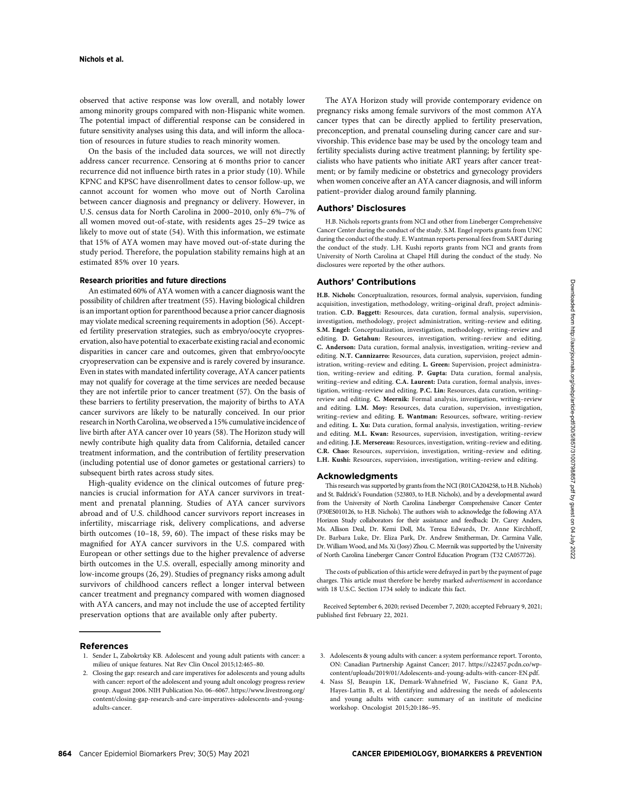observed that active response was low overall, and notably lower among minority groups compared with non-Hispanic white women. The potential impact of differential response can be considered in future sensitivity analyses using this data, and will inform the allocation of resources in future studies to reach minority women.

On the basis of the included data sources, we will not directly address cancer recurrence. Censoring at 6 months prior to cancer recurrence did not influence birth rates in a prior study (10). While KPNC and KPSC have disenrollment dates to censor follow-up, we cannot account for women who move out of North Carolina between cancer diagnosis and pregnancy or delivery. However, in U.S. census data for North Carolina in 2000–2010, only 6%–7% of all women moved out-of-state, with residents ages 25–29 twice as likely to move out of state (54). With this information, we estimate that 15% of AYA women may have moved out-of-state during the study period. Therefore, the population stability remains high at an estimated 85% over 10 years.

#### Research priorities and future directions

An estimated 60% of AYA women with a cancer diagnosis want the possibility of children after treatment (55). Having biological children is an important option for parenthood because a prior cancer diagnosis may violate medical screening requirements in adoption (56). Accepted fertility preservation strategies, such as embryo/oocyte cryopreservation, also have potential to exacerbate existing racial and economic disparities in cancer care and outcomes, given that embryo/oocyte cryopreservation can be expensive and is rarely covered by insurance. Even in states with mandated infertility coverage, AYA cancer patients may not qualify for coverage at the time services are needed because they are not infertile prior to cancer treatment (57). On the basis of these barriers to fertility preservation, the majority of births to AYA cancer survivors are likely to be naturally conceived. In our prior research in North Carolina, we observed a 15% cumulative incidence of live birth after AYA cancer over 10 years (58). The Horizon study will newly contribute high quality data from California, detailed cancer treatment information, and the contribution of fertility preservation (including potential use of donor gametes or gestational carriers) to subsequent birth rates across study sites.

High-quality evidence on the clinical outcomes of future pregnancies is crucial information for AYA cancer survivors in treatment and prenatal planning. Studies of AYA cancer survivors abroad and of U.S. childhood cancer survivors report increases in infertility, miscarriage risk, delivery complications, and adverse birth outcomes (10–18, 59, 60). The impact of these risks may be magnified for AYA cancer survivors in the U.S. compared with European or other settings due to the higher prevalence of adverse birth outcomes in the U.S. overall, especially among minority and low-income groups (26, 29). Studies of pregnancy risks among adult survivors of childhood cancers reflect a longer interval between cancer treatment and pregnancy compared with women diagnosed with AYA cancers, and may not include the use of accepted fertility preservation options that are available only after puberty.

References

- 1. Sender L, Zabokrtsky KB. Adolescent and young adult patients with cancer: a milieu of unique features. Nat Rev Clin Oncol 2015;12:465–80.
- 2. Closing the gap: research and care imperatives for adolescents and young adults with cancer: report of the adolescent and young adult oncology progress review group. August 2006. NIH Publication No. 06–6067. [https://www.livestrong.org/](https://www.livestrong.org/content/closing-gap-research-and-care-imperatives-adolescents-and-young-adults-cancer) [content/closing-gap-research-and-care-imperatives-adolescents-and-young](https://www.livestrong.org/content/closing-gap-research-and-care-imperatives-adolescents-and-young-adults-cancer)[adults-cancer.](https://www.livestrong.org/content/closing-gap-research-and-care-imperatives-adolescents-and-young-adults-cancer)

The AYA Horizon study will provide contemporary evidence on pregnancy risks among female survivors of the most common AYA cancer types that can be directly applied to fertility preservation, preconception, and prenatal counseling during cancer care and survivorship. This evidence base may be used by the oncology team and fertility specialists during active treatment planning; by fertility specialists who have patients who initiate ART years after cancer treatment; or by family medicine or obstetrics and gynecology providers when women conceive after an AYA cancer diagnosis, and will inform patient–provider dialog around family planning.

#### Authors' Disclosures

H.B. Nichols reports grants from NCI and other from Lineberger Comprehensive Cancer Center during the conduct of the study. S.M. Engel reports grants from UNC during the conduct of the study. E. Wantman reports personal fees from SART during the conduct of the study. L.H. Kushi reports grants from NCI and grants from University of North Carolina at Chapel Hill during the conduct of the study. No disclosures were reported by the other authors.

## Authors' Contributions

H.B. Nichols: Conceptualization, resources, formal analysis, supervision, funding acquisition, investigation, methodology, writing–original draft, project administration. C.D. Baggett: Resources, data curation, formal analysis, supervision, investigation, methodology, project administration, writing–review and editing. S.M. Engel: Conceptualization, investigation, methodology, writing–review and editing. D. Getahun: Resources, investigation, writing–review and editing. C. Anderson: Data curation, formal analysis, investigation, writing–review and editing. N.T. Cannizarro: Resources, data curation, supervision, project administration, writing–review and editing. L. Green: Supervision, project administration, writing–review and editing. P. Gupta: Data curation, formal analysis, writing–review and editing. C.A. Laurent: Data curation, formal analysis, investigation, writing–review and editing. P.C. Lin: Resources, data curation, writing– review and editing. C. Meernik: Formal analysis, investigation, writing–review and editing. L.M. Moy: Resources, data curation, supervision, investigation, writing–review and editing. E. Wantman: Resources, software, writing–review and editing. L. Xu: Data curation, formal analysis, investigation, writing–review and editing. M.L. Kwan: Resources, supervision, investigation, writing–review and editing. J.E. Mersereau: Resources, investigation, writing–review and editing. C.R. Chao: Resources, supervision, investigation, writing–review and editing. L.H. Kushi: Resources, supervision, investigation, writing–review and editing.

#### Acknowledgments

This research was supported by grants from the NCI (R01CA204258, to H.B. Nichols) and St. Baldrick's Foundation (523803, to H.B. Nichols), and by a developmental award from the University of North Carolina Lineberger Comprehensive Cancer Center (P30ES010126, to H.B. Nichols). The authors wish to acknowledge the following AYA Horizon Study collaborators for their assistance and feedback: Dr. Carey Anders, Ms. Allison Deal, Dr. Kemi Doll, Ms. Teresa Edwards, Dr. Anne Kirchhoff, Dr. Barbara Luke, Dr. Eliza Park, Dr. Andrew Smitherman, Dr. Carmina Valle, Dr. William Wood, and Ms. Xi (Josy) Zhou. C. Meernik was supported by the University of North Carolina Lineberger Cancer Control Education Program (T32 CA057726).

The costs of publication of this article were defrayed in part by the payment of page charges. This article must therefore be hereby marked advertisement in accordance with 18 U.S.C. Section 1734 solely to indicate this fact.

Received September 6, 2020; revised December 7, 2020; accepted February 9, 2021; published first February 22, 2021.

- 3. Adolescents & young adults with cancer: a system performance report. Toronto, ON: Canadian Partnership Against Cancer; 2017. [https://s22457.pcdn.co/wp](https://s22457.pcdn.co/wp-content/uploads/2019/01/Adolescents-and-young-adults-with-cancer-EN.pdf)[content/uploads/2019/01/Adolescents-and-young-adults-with-cancer-EN.pdf](https://s22457.pcdn.co/wp-content/uploads/2019/01/Adolescents-and-young-adults-with-cancer-EN.pdf).
- 4. Nass SJ, Beaupin LK, Demark-Wahnefried W, Fasciano K, Ganz PA, Hayes-Lattin B, et al. Identifying and addressing the needs of adolescents and young adults with cancer: summary of an institute of medicine workshop. Oncologist 2015;20:186–95.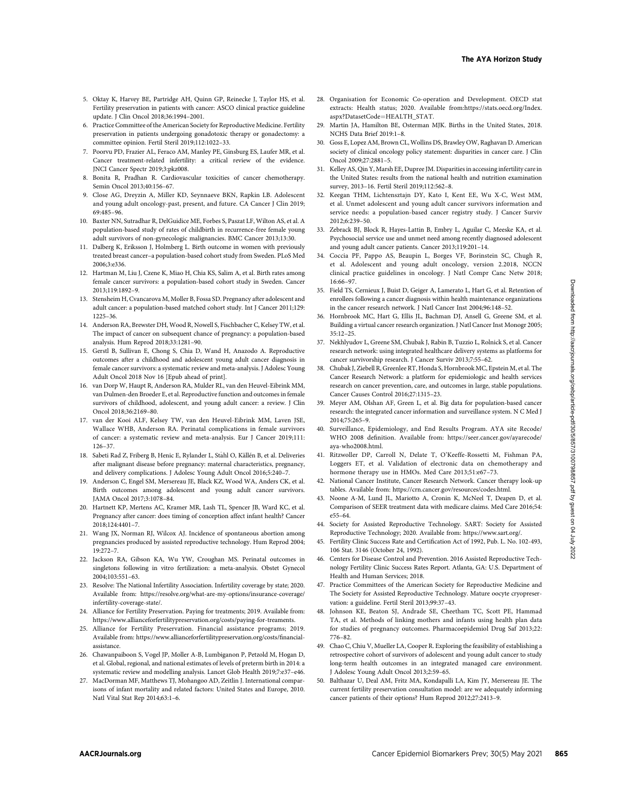- 5. Oktay K, Harvey BE, Partridge AH, Quinn GP, Reinecke J, Taylor HS, et al. Fertility preservation in patients with cancer: ASCO clinical practice guideline update. J Clin Oncol 2018;36:1994–2001.
- 6. Practice Committee of the American Society for Reproductive Medicine. Fertility preservation in patients undergoing gonadotoxic therapy or gonadectomy: a committee opinion. Fertil Steril 2019;112:1022–33.
- 7. Poorvu PD, Frazier AL, Feraco AM, Manley PE, Ginsburg ES, Laufer MR, et al. Cancer treatment-related infertility: a critical review of the evidence. JNCI Cancer Spectr 2019;3:pkz008.
- 8. Bonita R, Pradhan R. Cardiovascular toxicities of cancer chemotherapy. Semin Oncol 2013;40:156–67.
- 9. Close AG, Dreyzin A, Miller KD, Seynnaeve BKN, Rapkin LB. Adolescent and young adult oncology-past, present, and future. CA Cancer J Clin 2019; 69:485–96.
- 10. Baxter NN, Sutradhar R, DelGuidice ME, Forbes S, Paszat LF, Wilton AS, et al. A population-based study of rates of childbirth in recurrence-free female young adult survivors of non-gynecologic malignancies. BMC Cancer 2013;13:30.
- 11. Dalberg K, Eriksson J, Holmberg L. Birth outcome in women with previously treated breast cancer–a population-based cohort study from Sweden. PLoS Med 2006;3:e336.
- 12. Hartman M, Liu J, Czene K, Miao H, Chia KS, Salim A, et al. Birth rates among female cancer survivors: a population-based cohort study in Sweden. Cancer 2013;119:1892–9.
- 13. Stensheim H, Cvancarova M, Moller B, Fossa SD. Pregnancy after adolescent and adult cancer: a population-based matched cohort study. Int J Cancer 2011;129: 1225–36.
- 14. Anderson RA, Brewster DH, Wood R, Nowell S, Fischbacher C, Kelsey TW, et al. The impact of cancer on subsequent chance of pregnancy: a population-based analysis. Hum Reprod 2018;33:1281–90.
- 15. Gerstl B, Sullivan E, Chong S, Chia D, Wand H, Anazodo A. Reproductive outcomes after a childhood and adolescent young adult cancer diagnosis in female cancer survivors: a systematic review and meta-analysis. J Adolesc Young Adult Oncol 2018 Nov 16 [Epub ahead of print].
- 16. van Dorp W, Haupt R, Anderson RA, Mulder RL, van den Heuvel-Eibrink MM, van Dulmen-den Broeder E, et al. Reproductive function and outcomes in female survivors of childhood, adolescent, and young adult cancer: a review. J Clin Oncol 2018;36:2169–80.
- 17. van der Kooi ALF, Kelsey TW, van den Heuvel-Eibrink MM, Laven JSE, Wallace WHB, Anderson RA. Perinatal complications in female survivors of cancer: a systematic review and meta-analysis. Eur J Cancer 2019;111: 126–37.
- 18. Sabeti Rad Z, Friberg B, Henic E, Rylander L, Ståhl O, Källén B, et al. Deliveries after malignant disease before pregnancy: maternal characteristics, pregnancy, and delivery complications. J Adolesc Young Adult Oncol 2016;5:240–7.
- Anderson C, Engel SM, Mersereau JE, Black KZ, Wood WA, Anders CK, et al. Birth outcomes among adolescent and young adult cancer survivors. JAMA Oncol 2017;3:1078–84.
- 20. Hartnett KP, Mertens AC, Kramer MR, Lash TL, Spencer JB, Ward KC, et al. Pregnancy after cancer: does timing of conception affect infant health? Cancer 2018;124:4401–7.
- 21. Wang JX, Norman RJ, Wilcox AJ. Incidence of spontaneous abortion among pregnancies produced by assisted reproductive technology. Hum Reprod 2004; 19:272–7.
- 22. Jackson RA, Gibson KA, Wu YW, Croughan MS. Perinatal outcomes in singletons following in vitro fertilization: a meta-analysis. Obstet Gynecol 2004;103:551–63.
- 23. Resolve: The National Infertility Association. Infertility coverage by state; 2020. Available from: [https://resolve.org/what-are-my-options/insurance-coverage/](https://resolve.org/what-are-my-options/insurance-coverage/infertility-coverage-state/) [infertility-coverage-state/](https://resolve.org/what-are-my-options/insurance-coverage/infertility-coverage-state/).
- 24. Alliance for Fertility Preservation. Paying for treatments; 2019. Available from: [https://www.allianceforfertilitypreservation.org/costs/paying-for-treaments.](https://www.allianceforfertilitypreservation.org/costs/paying-for-treaments)
- 25. Alliance for Fertility Preservation. Financial assistance programs; 2019. Available from: [https://www.allianceforfertilitypreservation.org/costs/](https://www.allianceforfertilitypreservation.org/costs/financial-assistance)financial[assistance](https://www.allianceforfertilitypreservation.org/costs/financial-assistance).
- 26. Chawanpaiboon S, Vogel JP, Moller A-B, Lumbiganon P, Petzold M, Hogan D, et al. Global, regional, and national estimates of levels of preterm birth in 2014: a systematic review and modelling analysis. Lancet Glob Health 2019;7:e37–e46.
- 27. MacDorman MF, Matthews TJ, Mohangoo AD, Zeitlin J. International comparisons of infant mortality and related factors: United States and Europe, 2010. Natl Vital Stat Rep 2014;63:1–6.
- 28. Organisation for Economic Co-operation and Development. OECD stat extracts: Health status; 2020. Available from:[https://stats.oecd.org/Index.](https://stats.oecd.org/Index.aspx?DatasetCode=HEALTH_STAT) [aspx?DatasetCode](https://stats.oecd.org/Index.aspx?DatasetCode=HEALTH_STAT)¼[HEALTH\\_STAT](https://stats.oecd.org/Index.aspx?DatasetCode=HEALTH_STAT).
- 29. Martin JA, Hamilton BE, Osterman MJK. Births in the United States, 2018. NCHS Data Brief 2019:1–8.
- 30. Goss E, Lopez AM, Brown CL, Wollins DS, Brawley OW, Raghavan D. American society of clinical oncology policy statement: disparities in cancer care. J Clin Oncol 2009;27:2881–5.
- 31. Kelley AS, Qin Y, Marsh EE, Dupree JM. Disparities in accessing infertility care in the United States: results from the national health and nutrition examination survey, 2013–16. Fertil Steril 2019;112:562–8.
- 32. Keegan THM, Lichtensztajn DY, Kato I, Kent EE, Wu X-C, West MM, et al. Unmet adolescent and young adult cancer survivors information and service needs: a population-based cancer registry study. J Cancer Surviv 2012;6:239–50.
- 33. Zebrack BJ, Block R, Hayes-Lattin B, Embry L, Aguilar C, Meeske KA, et al. Psychosocial service use and unmet need among recently diagnosed adolescent and young adult cancer patients. Cancer 2013;119:201–14.
- 34. Coccia PF, Pappo AS, Beaupin L, Borges VF, Borinstein SC, Chugh R, et al. Adolescent and young adult oncology, version 2.2018, NCCN clinical practice guidelines in oncology. J Natl Compr Canc Netw 2018; 16:66–97.
- 35. Field TS, Cernieux J, Buist D, Geiger A, Lamerato L, Hart G, et al. Retention of enrollees following a cancer diagnosis within health maintenance organizations in the cancer research network. J Natl Cancer Inst 2004;96:148–52.
- 36. Hornbrook MC, Hart G, Ellis JL, Bachman DJ, Ansell G, Greene SM, et al. Building a virtual cancer research organization. J Natl Cancer Inst Monogr 2005; 35:12–25.
- 37. Nekhlyudov L, Greene SM, Chubak J, Rabin B, Tuzzio L, Rolnick S, et al. Cancer research network: using integrated healthcare delivery systems as platforms for cancer survivorship research. J Cancer Surviv 2013;7:55–62.
- 38. Chubak J, Ziebell R, Greenlee RT, Honda S, Hornbrook MC, Epstein M, et al. The Cancer Research Network: a platform for epidemiologic and health services research on cancer prevention, care, and outcomes in large, stable populations. Cancer Causes Control 2016;27:1315–23.
- 39. Meyer AM, Olshan AF, Green L, et al. Big data for population-based cancer research: the integrated cancer information and surveillance system. N C Med J 2014;75:265–9.
- 40. Surveillance, Epidemiology, and End Results Program. AYA site Recode/ WHO 2008 definition. Available from: [https://seer.cancer.gov/ayarecode/](https://seer.cancer.gov/ayarecode/aya-who2008.html) [aya-who2008.html.](https://seer.cancer.gov/ayarecode/aya-who2008.html)
- 41. Ritzwoller DP, Carroll N, Delate T, O'Keeffe-Rossetti M, Fishman PA, Loggers ET, et al. Validation of electronic data on chemotherapy and hormone therapy use in HMOs. Med Care 2013;51:e67–73.
- 42. National Cancer Institute, Cancer Research Network. Cancer therapy look-up tables. Available from:<https://crn.cancer.gov/resources/codes.html>.
- 43. Noone A-M, Lund JL, Mariotto A, Cronin K, McNeel T, Deapen D, et al. Comparison of SEER treatment data with medicare claims. Med Care 2016;54: e55–64.
- 44. Society for Assisted Reproductive Technology. SART: Society for Assisted Reproductive Technology; 2020. Available from:<https://www.sart.org/>.
- 45. Fertility Clinic Success Rate and Certification Act of 1992, Pub. L. No. 102-493, 106 Stat. 3146 (October 24, 1992).
- 46. Centers for Disease Control and Prevention. 2016 Assisted Reproductive Technology Fertility Clinic Success Rates Report. Atlanta, GA: U.S. Department of Health and Human Services; 2018.
- 47. Practice Committees of the American Society for Reproductive Medicine and The Society for Assisted Reproductive Technology. Mature oocyte cryopreservation: a guideline. Fertil Steril 2013;99:37–43.
- Johnson KE, Beaton SJ, Andrade SE, Cheetham TC, Scott PE, Hammad TA, et al. Methods of linking mothers and infants using health plan data for studies of pregnancy outcomes. Pharmacoepidemiol Drug Saf 2013;22: 776–82.
- 49. Chao C, Chiu V, Mueller LA, Cooper R. Exploring the feasibility of establishing a retrospective cohort of survivors of adolescent and young adult cancer to study long-term health outcomes in an integrated managed care environment. J Adolesc Young Adult Oncol 2013;2:59–65.
- 50. Balthazar U, Deal AM, Fritz MA, Kondapalli LA, Kim JY, Mersereau JE. The current fertility preservation consultation model: are we adequately informing cancer patients of their options? Hum Reprod 2012;27:2413–9.